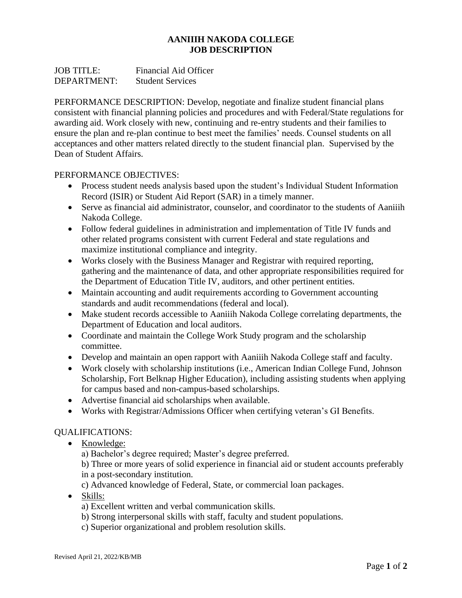## **AANIIIH NAKODA COLLEGE JOB DESCRIPTION**

| <b>JOB TITLE:</b> | <b>Financial Aid Officer</b> |
|-------------------|------------------------------|
| DEPARTMENT:       | <b>Student Services</b>      |

PERFORMANCE DESCRIPTION: Develop, negotiate and finalize student financial plans consistent with financial planning policies and procedures and with Federal/State regulations for awarding aid. Work closely with new, continuing and re-entry students and their families to ensure the plan and re-plan continue to best meet the families' needs. Counsel students on all acceptances and other matters related directly to the student financial plan. Supervised by the Dean of Student Affairs.

## PERFORMANCE OBJECTIVES:

- Process student needs analysis based upon the student's Individual Student Information Record (ISIR) or Student Aid Report (SAR) in a timely manner.
- Serve as financial aid administrator, counselor, and coordinator to the students of Aaniiih Nakoda College.
- Follow federal guidelines in administration and implementation of Title IV funds and other related programs consistent with current Federal and state regulations and maximize institutional compliance and integrity.
- Works closely with the Business Manager and Registrar with required reporting, gathering and the maintenance of data, and other appropriate responsibilities required for the Department of Education Title IV, auditors, and other pertinent entities.
- Maintain accounting and audit requirements according to Government accounting standards and audit recommendations (federal and local).
- Make student records accessible to Aaniiih Nakoda College correlating departments, the Department of Education and local auditors.
- Coordinate and maintain the College Work Study program and the scholarship committee.
- Develop and maintain an open rapport with Aaniiih Nakoda College staff and faculty.
- Work closely with scholarship institutions (i.e., American Indian College Fund, Johnson Scholarship, Fort Belknap Higher Education), including assisting students when applying for campus based and non-campus-based scholarships.
- Advertise financial aid scholarships when available.
- Works with Registrar/Admissions Officer when certifying veteran's GI Benefits.

## QUALIFICATIONS:

• Knowledge:

a) Bachelor's degree required; Master's degree preferred.

b) Three or more years of solid experience in financial aid or student accounts preferably in a post-secondary institution.

- c) Advanced knowledge of Federal, State, or commercial loan packages.
- Skills:
	- a) Excellent written and verbal communication skills.
	- b) Strong interpersonal skills with staff, faculty and student populations.
	- c) Superior organizational and problem resolution skills.